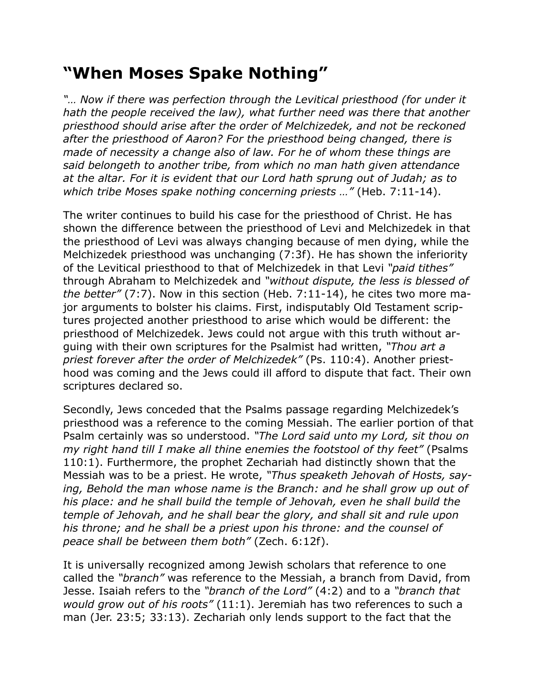## **"When Moses Spake Nothing"**

*"… Now if there was perfection through the Levitical priesthood (for under it hath the people received the law), what further need was there that another priesthood should arise after the order of Melchizedek, and not be reckoned after the priesthood of Aaron? For the priesthood being changed, there is made of necessity a change also of law. For he of whom these things are said belongeth to another tribe, from which no man hath given attendance at the altar. For it is evident that our Lord hath sprung out of Judah; as to which tribe Moses spake nothing concerning priests …"* (Heb. 7:11-14).

The writer continues to build his case for the priesthood of Christ. He has shown the difference between the priesthood of Levi and Melchizedek in that the priesthood of Levi was always changing because of men dying, while the Melchizedek priesthood was unchanging (7:3f). He has shown the inferiority of the Levitical priesthood to that of Melchizedek in that Levi *"paid tithes"* through Abraham to Melchizedek and *"without dispute, the less is blessed of the better"* (7:7). Now in this section (Heb. 7:11-14), he cites two more major arguments to bolster his claims. First, indisputably Old Testament scriptures projected another priesthood to arise which would be different: the priesthood of Melchizedek. Jews could not argue with this truth without arguing with their own scriptures for the Psalmist had written, *"Thou art a priest forever after the order of Melchizedek"* (Ps. 110:4). Another priesthood was coming and the Jews could ill afford to dispute that fact. Their own scriptures declared so.

Secondly, Jews conceded that the Psalms passage regarding Melchizedek's priesthood was a reference to the coming Messiah. The earlier portion of that Psalm certainly was so understood. *"The Lord said unto my Lord, sit thou on my right hand till I make all thine enemies the footstool of thy feet"* (Psalms 110:1). Furthermore, the prophet Zechariah had distinctly shown that the Messiah was to be a priest. He wrote, *"Thus speaketh Jehovah of Hosts, say*ing, Behold the man whose name is the Branch: and he shall grow up out of *his place: and he shall build the temple of Jehovah, even he shall build the temple of Jehovah, and he shall bear the glory, and shall sit and rule upon his throne; and he shall be a priest upon his throne: and the counsel of peace shall be between them both"* (Zech. 6:12f).

It is universally recognized among Jewish scholars that reference to one called the *"branch"* was reference to the Messiah, a branch from David, from Jesse. Isaiah refers to the *"branch of the Lord"* (4:2) and to a *"branch that would grow out of his roots"* (11:1). Jeremiah has two references to such a man (Jer. 23:5; 33:13). Zechariah only lends support to the fact that the